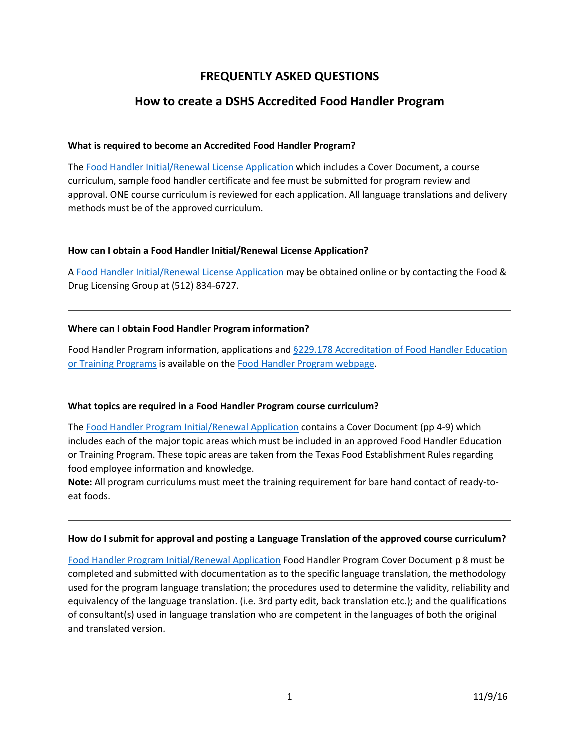# **FREQUENTLY ASKED QUESTIONS**

# **How to create a DSHS Accredited Food Handler Program**

## **What is required to become an Accredited Food Handler Program?**

The [Food Handler Initial/Renewal License Application](https://wwwstage.dshs.internal/food-handlers/forms.aspx) which includes a Cover Document, a course curriculum, sample food handler certificate and fee must be submitted for program review and approval. ONE course curriculum is reviewed for each application. All language translations and delivery methods must be of the approved curriculum.

## **How can I obtain a Food Handler Initial/Renewal License Application?**

A [Food Handler Initial/Renewal License Application](https://wwwstage.dshs.internal/food-handlers/forms.aspx) may be obtained online or by contacting the Food & Drug Licensing Group at (512) 834-6727.

## **Where can I obtain Food Handler Program information?**

Food Handler Program information, applications and §229.178 Accreditation of Food Handler Education [or Training Programs](http://texreg.sos.state.tx.us/public/readtac$ext.TacPage?sl=R&app=9&p_dir=&p_rloc=&p_tloc=&p_ploc=&pg=1&ti=25&ch=229&rl=178) is available on the [Food Handler Program webpage.](http://www.dshs.state.tx.us/food-handlers/)

## **What topics are required in a Food Handler Program course curriculum?**

The [Food Handler Program Initial/Renewal Application](https://wwwstage.dshs.internal/food-handlers/forms.aspx) contains a Cover Document (pp 4-9) which includes each of the major topic areas which must be included in an approved Food Handler Education or Training Program. These topic areas are taken from the Texas Food Establishment Rules regarding food employee information and knowledge.

**Note:** All program curriculums must meet the training requirement for bare hand contact of ready-toeat foods.

#### **How do I submit for approval and posting a Language Translation of the approved course curriculum?**

[Food Handler Program Initial/Renewal Application](https://wwwstage.dshs.internal/food-handlers/forms.aspx) Food Handler Program Cover Document p 8 must be completed and submitted with documentation as to the specific language translation, the methodology used for the program language translation; the procedures used to determine the validity, reliability and equivalency of the language translation. (i.e. 3rd party edit, back translation etc.); and the qualifications of consultant(s) used in language translation who are competent in the languages of both the original and translated version.